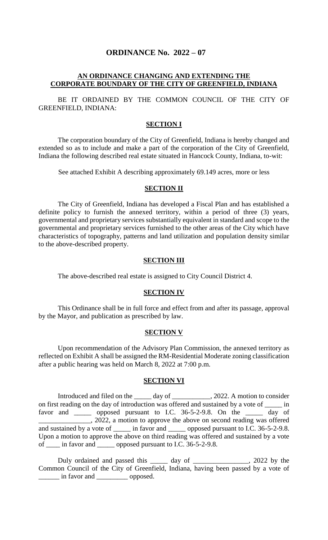# **ORDINANCE No. 2022 – 07**

# **AN ORDINANCE CHANGING AND EXTENDING THE CORPORATE BOUNDARY OF THE CITY OF GREENFIELD, INDIANA**

BE IT ORDAINED BY THE COMMON COUNCIL OF THE CITY OF GREENFIELD, INDIANA:

#### **SECTION I**

The corporation boundary of the City of Greenfield, Indiana is hereby changed and extended so as to include and make a part of the corporation of the City of Greenfield, Indiana the following described real estate situated in Hancock County, Indiana, to-wit:

See attached Exhibit A describing approximately 69.149 acres, more or less

### **SECTION II**

The City of Greenfield, Indiana has developed a Fiscal Plan and has established a definite policy to furnish the annexed territory, within a period of three (3) years, governmental and proprietary services substantially equivalent in standard and scope to the governmental and proprietary services furnished to the other areas of the City which have characteristics of topography, patterns and land utilization and population density similar to the above-described property.

#### **SECTION III**

The above-described real estate is assigned to City Council District 4.

#### **SECTION IV**

This Ordinance shall be in full force and effect from and after its passage, approval by the Mayor, and publication as prescribed by law.

### **SECTION V**

Upon recommendation of the Advisory Plan Commission, the annexed territory as reflected on Exhibit A shall be assigned the RM-Residential Moderate zoning classification after a public hearing was held on March 8, 2022 at 7:00 p.m.

## **SECTION VI**

Introduced and filed on the \_\_\_\_\_ day of \_\_\_\_\_\_\_\_\_\_\_, 2022. A motion to consider on first reading on the day of introduction was offered and sustained by a vote of \_\_\_\_\_ in favor and \_\_\_\_\_ opposed pursuant to I.C. 36-5-2-9.8. On the \_\_\_\_\_ day of \_\_\_\_\_\_\_\_\_\_\_\_\_\_\_, 2022, a motion to approve the above on second reading was offered and sustained by a vote of \_\_\_\_\_\_ in favor and \_\_\_\_\_\_ opposed pursuant to I.C. 36-5-2-9.8. Upon a motion to approve the above on third reading was offered and sustained by a vote of \_\_\_\_ in favor and \_\_\_\_\_ opposed pursuant to I.C. 36-5-2-9.8.

Duly ordained and passed this \_\_\_\_\_ day of \_\_\_\_\_\_\_\_\_\_\_\_\_, 2022 by the Common Council of the City of Greenfield, Indiana, having been passed by a vote of \_\_\_\_\_\_ in favor and \_\_\_\_\_\_\_\_\_ opposed.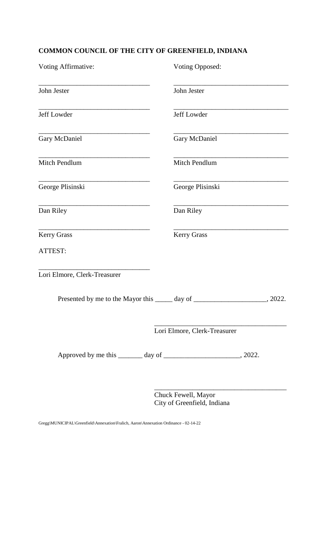# **COMMON COUNCIL OF THE CITY OF GREENFIELD, INDIANA**

| <b>Voting Opposed:</b>                                                            |  |
|-----------------------------------------------------------------------------------|--|
| John Jester                                                                       |  |
| Jeff Lowder                                                                       |  |
| <b>Gary McDaniel</b>                                                              |  |
| Mitch Pendlum                                                                     |  |
| George Plisinski                                                                  |  |
| Dan Riley                                                                         |  |
| <b>Kerry Grass</b>                                                                |  |
|                                                                                   |  |
|                                                                                   |  |
| Presented by me to the Mayor this ______ day of __________________________, 2022. |  |
| Lori Elmore, Clerk-Treasurer                                                      |  |
|                                                                                   |  |
|                                                                                   |  |

Chuck Fewell, Mayor City of Greenfield, Indiana

\_\_\_\_\_\_\_\_\_\_\_\_\_\_\_\_\_\_\_\_\_\_\_\_\_\_\_\_\_\_\_\_\_\_\_\_\_\_

Gregg\MUNICIPAL\Greenfield\Annexation\Fralich, Aaron\Annexation Ordinance - 02-14-22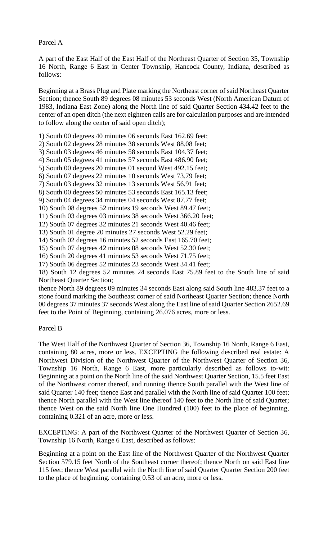## Parcel A

A part of the East Half of the East Half of the Northeast Quarter of Section 35, Township 16 North, Range 6 East in Center Township, Hancock County, Indiana, described as follows:

Beginning at a Brass Plug and Plate marking the Northeast corner of said Northeast Quarter Section; thence South 89 degrees 08 minutes 53 seconds West (North American Datum of 1983, Indiana East Zone) along the North line of said Quarter Section 434.42 feet to the center of an open ditch (the next eighteen calls are for calculation purposes and are intended to follow along the center of said open ditch);

- 1) South 00 degrees 40 minutes 06 seconds East 162.69 feet;
- 2) South 02 degrees 28 minutes 38 seconds West 88.08 feet;
- 3) South 03 degrees 46 minutes 58 seconds East 104.37 feet;
- 4) South 05 degrees 41 minutes 57 seconds East 486.90 feet;
- 5) South 00 degrees 20 minutes 01 second West 492.15 feet;
- 6) South 07 degrees 22 minutes 10 seconds West 73.79 feet;
- 7) South 03 degrees 32 minutes 13 seconds West 56.91 feet;
- 8) South 00 degrees 50 minutes 53 seconds East 165.13 feet;
- 9) South 04 degrees 34 minutes 04 seconds West 87.77 feet;
- 10) South 08 degrees 52 minutes 19 seconds West 89.47 feet;
- 11) South 03 degrees 03 minutes 38 seconds West 366.20 feet;
- 12) South 07 degrees 32 minutes 21 seconds West 40.46 feet;
- 13) South 01 degree 20 minutes 27 seconds West 52.29 feet;
- 14) South 02 degrees 16 minutes 52 seconds East 165.70 feet;
- 15) South 07 degrees 42 minutes 08 seconds West 52.30 feet;
- 16) South 20 degrees 41 minutes 53 seconds West 71.75 feet;
- 17) South 06 degrees 52 minutes 23 seconds West 34.41 feet;
- 18) South 12 degrees 52 minutes 24 seconds East 75.89 feet to the South line of said Northeast Quarter Section;

thence North 89 degrees 09 minutes 34 seconds East along said South line 483.37 feet to a stone found marking the Southeast corner of said Northeast Quarter Section; thence North 00 degrees 37 minutes 37 seconds West along the East line of said Quarter Section 2652.69 feet to the Point of Beginning, containing 26.076 acres, more or less.

#### Parcel B

The West Half of the Northwest Quarter of Section 36, Township 16 North, Range 6 East, containing 80 acres, more or less. EXCEPTING the following described real estate: A Northwest Division of the Northwest Quarter of the Northwest Quarter of Section 36, Township 16 North, Range 6 East, more particularly described as follows to-wit: Beginning at a point on the North line of the said Northwest Quarter Section, 15.5 feet East of the Northwest corner thereof, and running thence South parallel with the West line of said Quarter 140 feet; thence East and parallel with the North line of said Quarter 100 feet; thence North parallel with the West line thereof 140 feet to the North line of said Quarter; thence West on the said North line One Hundred (100) feet to the place of beginning, containing 0.321 of an acre, more or less.

EXCEPTING: A part of the Northwest Quarter of the Northwest Quarter of Section 36, Township 16 North, Range 6 East, described as follows:

Beginning at a point on the East line of the Northwest Quarter of the Northwest Quarter Section 579.15 feet North of the Southeast corner thereof; thence North on said East line 115 feet; thence West parallel with the North line of said Quarter Quarter Section 200 feet to the place of beginning. containing 0.53 of an acre, more or less.